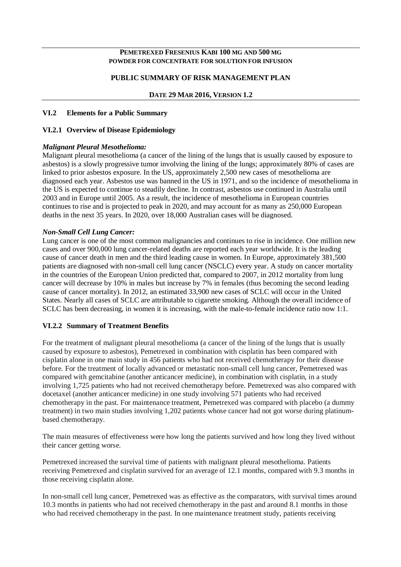#### **PEMETREXED FRESENIUS KABI 100 MG AND 500 MG POWDER FOR CONCENTRATE FOR SOLUTION FOR INFUSION**

## **PUBLIC SUMMARY OF RISK MANAGEMENT PLAN**

### **DATE 29 MAR 2016, VERSION 1.2**

#### **VI.2 Elements for a Public Summary**

#### **VI.2.1 Overview of Disease Epidemiology**

#### *Malignant Pleural Mesothelioma:*

Malignant pleural mesothelioma (a cancer of the lining of the lungs that is usually caused by exposure to asbestos) is a slowly progressive tumor involving the lining of the lungs; approximately 80% of cases are linked to prior asbestos exposure. In the US, approximately 2,500 new cases of mesothelioma are diagnosed each year. Asbestos use was banned in the US in 1971, and so the incidence of mesothelioma in the US is expected to continue to steadily decline. In contrast, asbestos use continued in Australia until 2003 and in Europe until 2005. As a result, the incidence of mesothelioma in European countries continues to rise and is projected to peak in 2020, and may account for as many as 250,000 European deaths in the next 35 years. In 2020, over 18,000 Australian cases will be diagnosed.

#### *Non-Small Cell Lung Cancer:*

Lung cancer is one of the most common malignancies and continues to rise in incidence. One million new cases and over 900,000 lung cancer-related deaths are reported each year worldwide. It is the leading cause of cancer death in men and the third leading cause in women. In Europe, approximately 381,500 patients are diagnosed with non-small cell lung cancer (NSCLC) every year. A study on cancer mortality in the countries of the European Union predicted that, compared to 2007, in 2012 mortality from lung cancer will decrease by 10% in males but increase by 7% in females (thus becoming the second leading cause of cancer mortality). In 2012, an estimated 33,900 new cases of SCLC will occur in the United States. Nearly all cases of SCLC are attributable to cigarette smoking. Although the overall incidence of SCLC has been decreasing, in women it is increasing, with the male-to-female incidence ratio now 1:1.

#### **VI.2.2 Summary of Treatment Benefits**

For the treatment of malignant pleural mesothelioma (a cancer of the lining of the lungs that is usually caused by exposure to asbestos), Pemetrexed in combination with cisplatin has been compared with cisplatin alone in one main study in 456 patients who had not received chemotherapy for their disease before. For the treatment of locally advanced or metastatic non-small cell lung cancer, Pemetrexed was compared with gemcitabine (another anticancer medicine), in combination with cisplatin, in a study involving 1,725 patients who had not received chemotherapy before. Pemetrexed was also compared with docetaxel (another anticancer medicine) in one study involving 571 patients who had received chemotherapy in the past. For maintenance treatment, Pemetrexed was compared with placebo (a dummy treatment) in two main studies involving 1,202 patients whose cancer had not got worse during platinumbased chemotherapy.

The main measures of effectiveness were how long the patients survived and how long they lived without their cancer getting worse.

Pemetrexed increased the survival time of patients with malignant pleural mesothelioma. Patients receiving Pemetrexed and cisplatin survived for an average of 12.1 months, compared with 9.3 months in those receiving cisplatin alone.

In non-small cell lung cancer, Pemetrexed was as effective as the comparators, with survival times around 10.3 months in patients who had not received chemotherapy in the past and around 8.1 months in those who had received chemotherapy in the past. In one maintenance treatment study, patients receiving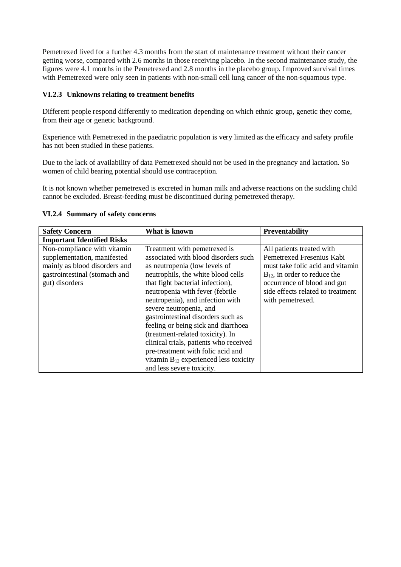Pemetrexed lived for a further 4.3 months from the start of maintenance treatment without their cancer getting worse, compared with 2.6 months in those receiving placebo. In the second maintenance study, the figures were 4.1 months in the Pemetrexed and 2.8 months in the placebo group. Improved survival times with Pemetrexed were only seen in patients with non-small cell lung cancer of the non-squamous type.

## **VI.2.3 Unknowns relating to treatment benefits**

Different people respond differently to medication depending on which ethnic group, genetic they come, from their age or genetic background.

Experience with Pemetrexed in the paediatric population is very limited as the efficacy and safety profile has not been studied in these patients.

Due to the lack of availability of data Pemetrexed should not be used in the pregnancy and lactation. So women of child bearing potential should use contraception.

It is not known whether pemetrexed is excreted in human milk and adverse reactions on the suckling child cannot be excluded. Breast-feeding must be discontinued during pemetrexed therapy.

| <b>Safety Concern</b>                                                                                                                          | What is known                                                                                                                                                                                                                                                                                                                                                                                                                                                                                                                                                | <b>Preventability</b>                                                                                                                                                                                                   |
|------------------------------------------------------------------------------------------------------------------------------------------------|--------------------------------------------------------------------------------------------------------------------------------------------------------------------------------------------------------------------------------------------------------------------------------------------------------------------------------------------------------------------------------------------------------------------------------------------------------------------------------------------------------------------------------------------------------------|-------------------------------------------------------------------------------------------------------------------------------------------------------------------------------------------------------------------------|
| <b>Important Identified Risks</b>                                                                                                              |                                                                                                                                                                                                                                                                                                                                                                                                                                                                                                                                                              |                                                                                                                                                                                                                         |
| Non-compliance with vitamin<br>supplementation, manifested<br>mainly as blood disorders and<br>gastrointestinal (stomach and<br>gut) disorders | Treatment with pemetrexed is<br>associated with blood disorders such<br>as neutropenia (low levels of<br>neutrophils, the white blood cells<br>that fight bacterial infection),<br>neutropenia with fever (febrile<br>neutropenia), and infection with<br>severe neutropenia, and<br>gastrointestinal disorders such as<br>feeling or being sick and diarrhoea<br>(treatment-related toxicity). In<br>clinical trials, patients who received<br>pre-treatment with folic acid and<br>vitamin $B_{12}$ experienced less toxicity<br>and less severe toxicity. | All patients treated with<br>Pemetrexed Fresenius Kabi<br>must take folic acid and vitamin<br>$B_{12}$ , in order to reduce the<br>occurrence of blood and gut<br>side effects related to treatment<br>with pemetrexed. |

#### **VI.2.4 Summary of safety concerns**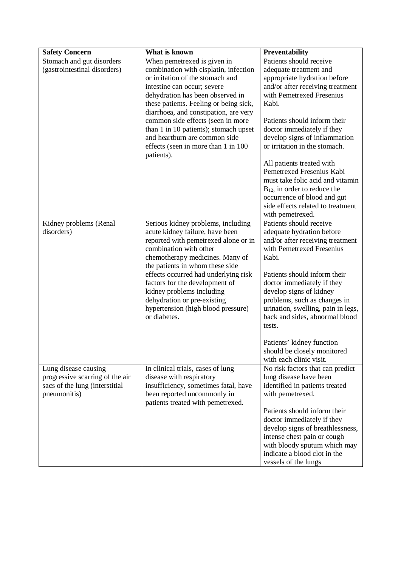| <b>Safety Concern</b>                          | What is known                                                                                                                                                                                                                                                                                                                                                                                                                           | Preventability                                                                                                                                                                                                                                                                                                                                                                                                                                                                                                                                                                                |
|------------------------------------------------|-----------------------------------------------------------------------------------------------------------------------------------------------------------------------------------------------------------------------------------------------------------------------------------------------------------------------------------------------------------------------------------------------------------------------------------------|-----------------------------------------------------------------------------------------------------------------------------------------------------------------------------------------------------------------------------------------------------------------------------------------------------------------------------------------------------------------------------------------------------------------------------------------------------------------------------------------------------------------------------------------------------------------------------------------------|
| Stomach and gut disorders                      | When pemetrexed is given in                                                                                                                                                                                                                                                                                                                                                                                                             | Patients should receive                                                                                                                                                                                                                                                                                                                                                                                                                                                                                                                                                                       |
| (gastrointestinal disorders)                   | combination with cisplatin, infection                                                                                                                                                                                                                                                                                                                                                                                                   | adequate treatment and                                                                                                                                                                                                                                                                                                                                                                                                                                                                                                                                                                        |
|                                                | or irritation of the stomach and                                                                                                                                                                                                                                                                                                                                                                                                        | appropriate hydration before                                                                                                                                                                                                                                                                                                                                                                                                                                                                                                                                                                  |
|                                                | intestine can occur; severe                                                                                                                                                                                                                                                                                                                                                                                                             | and/or after receiving treatment                                                                                                                                                                                                                                                                                                                                                                                                                                                                                                                                                              |
|                                                | dehydration has been observed in                                                                                                                                                                                                                                                                                                                                                                                                        | with Pemetrexed Fresenius                                                                                                                                                                                                                                                                                                                                                                                                                                                                                                                                                                     |
|                                                | these patients. Feeling or being sick,                                                                                                                                                                                                                                                                                                                                                                                                  | Kabi.                                                                                                                                                                                                                                                                                                                                                                                                                                                                                                                                                                                         |
|                                                | diarrhoea, and constipation, are very                                                                                                                                                                                                                                                                                                                                                                                                   |                                                                                                                                                                                                                                                                                                                                                                                                                                                                                                                                                                                               |
|                                                | common side effects (seen in more                                                                                                                                                                                                                                                                                                                                                                                                       | Patients should inform their                                                                                                                                                                                                                                                                                                                                                                                                                                                                                                                                                                  |
|                                                | than 1 in 10 patients); stomach upset                                                                                                                                                                                                                                                                                                                                                                                                   | doctor immediately if they                                                                                                                                                                                                                                                                                                                                                                                                                                                                                                                                                                    |
|                                                | and heartburn are common side                                                                                                                                                                                                                                                                                                                                                                                                           | develop signs of inflammation                                                                                                                                                                                                                                                                                                                                                                                                                                                                                                                                                                 |
|                                                | effects (seen in more than 1 in 100<br>patients).                                                                                                                                                                                                                                                                                                                                                                                       | or irritation in the stomach.                                                                                                                                                                                                                                                                                                                                                                                                                                                                                                                                                                 |
|                                                |                                                                                                                                                                                                                                                                                                                                                                                                                                         | All patients treated with                                                                                                                                                                                                                                                                                                                                                                                                                                                                                                                                                                     |
|                                                |                                                                                                                                                                                                                                                                                                                                                                                                                                         | Pemetrexed Fresenius Kabi                                                                                                                                                                                                                                                                                                                                                                                                                                                                                                                                                                     |
|                                                |                                                                                                                                                                                                                                                                                                                                                                                                                                         | must take folic acid and vitamin                                                                                                                                                                                                                                                                                                                                                                                                                                                                                                                                                              |
|                                                |                                                                                                                                                                                                                                                                                                                                                                                                                                         | $B_{12}$ , in order to reduce the                                                                                                                                                                                                                                                                                                                                                                                                                                                                                                                                                             |
|                                                |                                                                                                                                                                                                                                                                                                                                                                                                                                         | occurrence of blood and gut                                                                                                                                                                                                                                                                                                                                                                                                                                                                                                                                                                   |
|                                                |                                                                                                                                                                                                                                                                                                                                                                                                                                         | side effects related to treatment                                                                                                                                                                                                                                                                                                                                                                                                                                                                                                                                                             |
|                                                |                                                                                                                                                                                                                                                                                                                                                                                                                                         | with pemetrexed.                                                                                                                                                                                                                                                                                                                                                                                                                                                                                                                                                                              |
| Kidney problems (Renal                         | Serious kidney problems, including                                                                                                                                                                                                                                                                                                                                                                                                      | Patients should receive                                                                                                                                                                                                                                                                                                                                                                                                                                                                                                                                                                       |
| disorders)                                     |                                                                                                                                                                                                                                                                                                                                                                                                                                         |                                                                                                                                                                                                                                                                                                                                                                                                                                                                                                                                                                                               |
|                                                | reported with pemetrexed alone or in                                                                                                                                                                                                                                                                                                                                                                                                    |                                                                                                                                                                                                                                                                                                                                                                                                                                                                                                                                                                                               |
|                                                |                                                                                                                                                                                                                                                                                                                                                                                                                                         |                                                                                                                                                                                                                                                                                                                                                                                                                                                                                                                                                                                               |
|                                                |                                                                                                                                                                                                                                                                                                                                                                                                                                         |                                                                                                                                                                                                                                                                                                                                                                                                                                                                                                                                                                                               |
|                                                |                                                                                                                                                                                                                                                                                                                                                                                                                                         |                                                                                                                                                                                                                                                                                                                                                                                                                                                                                                                                                                                               |
|                                                |                                                                                                                                                                                                                                                                                                                                                                                                                                         |                                                                                                                                                                                                                                                                                                                                                                                                                                                                                                                                                                                               |
|                                                |                                                                                                                                                                                                                                                                                                                                                                                                                                         |                                                                                                                                                                                                                                                                                                                                                                                                                                                                                                                                                                                               |
|                                                |                                                                                                                                                                                                                                                                                                                                                                                                                                         |                                                                                                                                                                                                                                                                                                                                                                                                                                                                                                                                                                                               |
|                                                |                                                                                                                                                                                                                                                                                                                                                                                                                                         |                                                                                                                                                                                                                                                                                                                                                                                                                                                                                                                                                                                               |
|                                                |                                                                                                                                                                                                                                                                                                                                                                                                                                         |                                                                                                                                                                                                                                                                                                                                                                                                                                                                                                                                                                                               |
|                                                |                                                                                                                                                                                                                                                                                                                                                                                                                                         |                                                                                                                                                                                                                                                                                                                                                                                                                                                                                                                                                                                               |
|                                                |                                                                                                                                                                                                                                                                                                                                                                                                                                         |                                                                                                                                                                                                                                                                                                                                                                                                                                                                                                                                                                                               |
|                                                |                                                                                                                                                                                                                                                                                                                                                                                                                                         | Patients' kidney function                                                                                                                                                                                                                                                                                                                                                                                                                                                                                                                                                                     |
|                                                |                                                                                                                                                                                                                                                                                                                                                                                                                                         | should be closely monitored                                                                                                                                                                                                                                                                                                                                                                                                                                                                                                                                                                   |
|                                                |                                                                                                                                                                                                                                                                                                                                                                                                                                         | with each clinic visit.                                                                                                                                                                                                                                                                                                                                                                                                                                                                                                                                                                       |
| Lung disease causing                           | In clinical trials, cases of lung                                                                                                                                                                                                                                                                                                                                                                                                       | No risk factors that can predict                                                                                                                                                                                                                                                                                                                                                                                                                                                                                                                                                              |
| progressive scarring of the air                | disease with respiratory                                                                                                                                                                                                                                                                                                                                                                                                                | lung disease have been                                                                                                                                                                                                                                                                                                                                                                                                                                                                                                                                                                        |
|                                                |                                                                                                                                                                                                                                                                                                                                                                                                                                         |                                                                                                                                                                                                                                                                                                                                                                                                                                                                                                                                                                                               |
|                                                |                                                                                                                                                                                                                                                                                                                                                                                                                                         |                                                                                                                                                                                                                                                                                                                                                                                                                                                                                                                                                                                               |
|                                                |                                                                                                                                                                                                                                                                                                                                                                                                                                         |                                                                                                                                                                                                                                                                                                                                                                                                                                                                                                                                                                                               |
|                                                |                                                                                                                                                                                                                                                                                                                                                                                                                                         |                                                                                                                                                                                                                                                                                                                                                                                                                                                                                                                                                                                               |
|                                                |                                                                                                                                                                                                                                                                                                                                                                                                                                         |                                                                                                                                                                                                                                                                                                                                                                                                                                                                                                                                                                                               |
|                                                |                                                                                                                                                                                                                                                                                                                                                                                                                                         |                                                                                                                                                                                                                                                                                                                                                                                                                                                                                                                                                                                               |
|                                                |                                                                                                                                                                                                                                                                                                                                                                                                                                         |                                                                                                                                                                                                                                                                                                                                                                                                                                                                                                                                                                                               |
|                                                |                                                                                                                                                                                                                                                                                                                                                                                                                                         |                                                                                                                                                                                                                                                                                                                                                                                                                                                                                                                                                                                               |
|                                                |                                                                                                                                                                                                                                                                                                                                                                                                                                         |                                                                                                                                                                                                                                                                                                                                                                                                                                                                                                                                                                                               |
| sacs of the lung (interstitial<br>pneumonitis) | acute kidney failure, have been<br>combination with other<br>chemotherapy medicines. Many of<br>the patients in whom these side<br>effects occurred had underlying risk<br>factors for the development of<br>kidney problems including<br>dehydration or pre-existing<br>hypertension (high blood pressure)<br>or diabetes.<br>insufficiency, sometimes fatal, have<br>been reported uncommonly in<br>patients treated with pemetrexed. | adequate hydration before<br>and/or after receiving treatment<br>with Pemetrexed Fresenius<br>Kabi.<br>Patients should inform their<br>doctor immediately if they<br>develop signs of kidney<br>problems, such as changes in<br>urination, swelling, pain in legs,<br>back and sides, abnormal blood<br>tests.<br>identified in patients treated<br>with pemetrexed.<br>Patients should inform their<br>doctor immediately if they<br>develop signs of breathlessness,<br>intense chest pain or cough<br>with bloody sputum which may<br>indicate a blood clot in the<br>vessels of the lungs |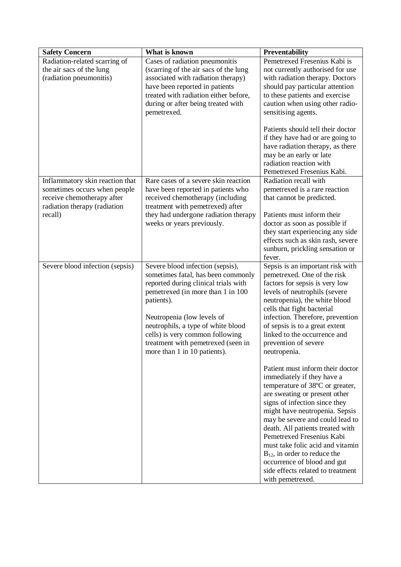| <b>Safety Concern</b>           | What is known                                   | Preventability                                                 |
|---------------------------------|-------------------------------------------------|----------------------------------------------------------------|
| Radiation-related scarring of   | Cases of radiation pneumonitis                  | Pemetrexed Fresenius Kabi is                                   |
| the air sacs of the lung        | (scarring of the air sacs of the lung           | not currently authorised for use                               |
| (radiation pneumonitis)         | associated with radiation therapy)              | with radiation therapy. Doctors                                |
|                                 | have been reported in patients                  | should pay particular attention                                |
|                                 | treated with radiation either before,           | to these patients and exercise                                 |
|                                 | during or after being treated with              | caution when using other radio-                                |
|                                 | pemetrexed.                                     | sensitising agents.                                            |
|                                 |                                                 | Patients should tell their doctor                              |
|                                 |                                                 | if they have had or are going to                               |
|                                 |                                                 | have radiation therapy, as there                               |
|                                 |                                                 | may be an early or late                                        |
|                                 |                                                 | radiation reaction with                                        |
|                                 |                                                 | Pemetrexed Fresenius Kabi.                                     |
| Inflammatory skin reaction that | Rare cases of a severe skin reaction            | Radiation recall with                                          |
| sometimes occurs when people    | have been reported in patients who              | pemetrexed is a rare reaction                                  |
| receive chemotherapy after      | received chemotherapy (including                | that cannot be predicted.                                      |
| radiation therapy (radiation    | treatment with pemetrexed) after                |                                                                |
| recall)                         | they had undergone radiation therapy            | Patients must inform their                                     |
|                                 | weeks or years previously.                      | doctor as soon as possible if                                  |
|                                 |                                                 | they start experiencing any side                               |
|                                 |                                                 | effects such as skin rash, severe                              |
|                                 |                                                 | sunburn, prickling sensation or                                |
|                                 |                                                 | fever.                                                         |
| Severe blood infection (sepsis) | Severe blood infection (sepsis),                | Sepsis is an important risk with                               |
|                                 | sometimes fatal, has been commonly              | pemetrexed. One of the risk                                    |
|                                 | reported during clinical trials with            | factors for sepsis is very low                                 |
|                                 | pemetrexed (in more than 1 in 100<br>patients). | levels of neutrophils (severe<br>neutropenia), the white blood |
|                                 |                                                 | cells that fight bacterial                                     |
|                                 | Neutropenia (low levels of                      | infection. Therefore, prevention                               |
|                                 | neutrophils, a type of white blood              | of sepsis is to a great extent                                 |
|                                 | cells) is very common following                 | linked to the occurrence and                                   |
|                                 | treatment with pemetrexed (seen in              | prevention of severe                                           |
|                                 | more than 1 in 10 patients).                    | neutropenia.                                                   |
|                                 |                                                 |                                                                |
|                                 |                                                 | Patient must inform their doctor                               |
|                                 |                                                 | immediately if they have a                                     |
|                                 |                                                 | temperature of 38°C or greater,                                |
|                                 |                                                 | are sweating or present other                                  |
|                                 |                                                 | signs of infection since they                                  |
|                                 |                                                 | might have neutropenia. Sepsis                                 |
|                                 |                                                 | may be severe and could lead to                                |
|                                 |                                                 | death. All patients treated with<br>Pemetrexed Fresenius Kabi  |
|                                 |                                                 | must take folic acid and vitamin                               |
|                                 |                                                 | $B_{12}$ , in order to reduce the                              |
|                                 |                                                 | occurrence of blood and gut                                    |
|                                 |                                                 | side effects related to treatment                              |
|                                 |                                                 | with pemetrexed.                                               |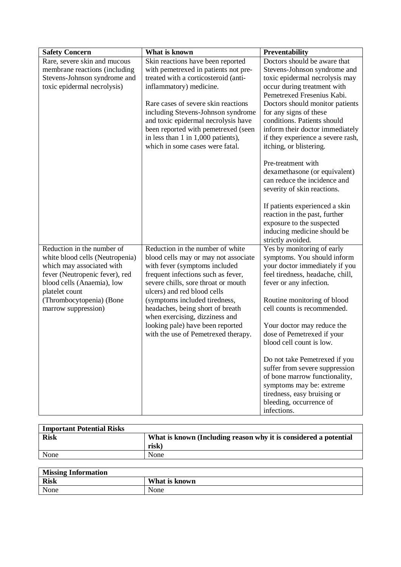| <b>Safety Concern</b>           | What is known                                                            | Preventability                                            |
|---------------------------------|--------------------------------------------------------------------------|-----------------------------------------------------------|
| Rare, severe skin and mucous    | Skin reactions have been reported                                        | Doctors should be aware that                              |
| membrane reactions (including   | with pemetrexed in patients not pre-                                     | Stevens-Johnson syndrome and                              |
| Stevens-Johnson syndrome and    | treated with a corticosteroid (anti-                                     | toxic epidermal necrolysis may                            |
| toxic epidermal necrolysis)     | inflammatory) medicine.                                                  | occur during treatment with                               |
|                                 |                                                                          | Pemetrexed Fresenius Kabi.                                |
|                                 | Rare cases of severe skin reactions                                      | Doctors should monitor patients                           |
|                                 | including Stevens-Johnson syndrome                                       | for any signs of these                                    |
|                                 | and toxic epidermal necrolysis have                                      | conditions. Patients should                               |
|                                 | been reported with pemetrexed (seen                                      | inform their doctor immediately                           |
|                                 | in less than 1 in 1,000 patients),                                       | if they experience a severe rash,                         |
|                                 | which in some cases were fatal.                                          | itching, or blistering.                                   |
|                                 |                                                                          | Pre-treatment with                                        |
|                                 |                                                                          | dexamethasone (or equivalent)                             |
|                                 |                                                                          | can reduce the incidence and                              |
|                                 |                                                                          | severity of skin reactions.                               |
|                                 |                                                                          |                                                           |
|                                 |                                                                          | If patients experienced a skin                            |
|                                 |                                                                          | reaction in the past, further                             |
|                                 |                                                                          | exposure to the suspected                                 |
|                                 |                                                                          | inducing medicine should be                               |
| Reduction in the number of      |                                                                          | strictly avoided.                                         |
| white blood cells (Neutropenia) | Reduction in the number of white<br>blood cells may or may not associate | Yes by monitoring of early<br>symptoms. You should inform |
| which may associated with       | with fever (symptoms included                                            | your doctor immediately if you                            |
| fever (Neutropenic fever), red  | frequent infections such as fever,                                       | feel tiredness, headache, chill,                          |
| blood cells (Anaemia), low      | severe chills, sore throat or mouth                                      | fever or any infection.                                   |
| platelet count                  | ulcers) and red blood cells                                              |                                                           |
| (Thrombocytopenia) (Bone        | (symptoms included tiredness,                                            | Routine monitoring of blood                               |
| marrow suppression)             | headaches, being short of breath                                         | cell counts is recommended.                               |
|                                 | when exercising, dizziness and                                           |                                                           |
|                                 | looking pale) have been reported                                         | Your doctor may reduce the                                |
|                                 | with the use of Pemetrexed therapy.                                      | dose of Pemetrexed if your                                |
|                                 |                                                                          | blood cell count is low.                                  |
|                                 |                                                                          | Do not take Pemetrexed if you                             |
|                                 |                                                                          | suffer from severe suppression                            |
|                                 |                                                                          | of bone marrow functionality,                             |
|                                 |                                                                          | symptoms may be: extreme                                  |
|                                 |                                                                          | tiredness, easy bruising or                               |
|                                 |                                                                          | bleeding, occurrence of                                   |
|                                 |                                                                          | infections.                                               |

| <b>Important Potential Risks</b> |                                                                  |
|----------------------------------|------------------------------------------------------------------|
| <b>Risk</b>                      | What is known (Including reason why it is considered a potential |
|                                  | risk)                                                            |
| None                             | None                                                             |

| <b>Missing Information</b> |               |
|----------------------------|---------------|
| <b>Risk</b>                | What is known |
| None                       | None          |